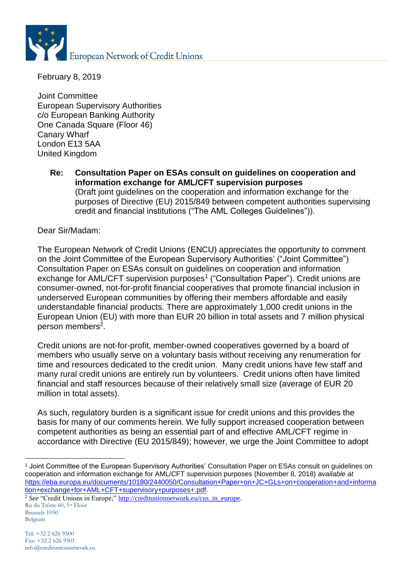

February 8, 2019

Joint Committee European Supervisory Authorities c/o European Banking Authority One Canada Square (Floor 46) Canary Wharf London E13 5AA United Kingdom

**Re: Consultation Paper on ESAs consult on guidelines on cooperation and information exchange for AML/CFT supervision purposes** (Draft joint guidelines on the cooperation and information exchange for the purposes of Directive (EU) 2015/849 between competent authorities supervising credit and financial institutions ("The AML Colleges Guidelines")).

Dear Sir/Madam:

The European Network of Credit Unions (ENCU) appreciates the opportunity to comment on the Joint Committee of the European Supervisory Authorities' ("Joint Committee") Consultation Paper on ESAs consult on guidelines on cooperation and information exchange for AML/CFT supervision purposes<sup>1</sup> ("Consultation Paper"). Credit unions are consumer-owned, not-for-profit financial cooperatives that promote financial inclusion in underserved European communities by offering their members affordable and easily understandable financial products. There are approximately 1,000 credit unions in the European Union (EU) with more than EUR 20 billion in total assets and 7 million physical person members<sup>2</sup>.

Credit unions are not-for-profit, member-owned cooperatives governed by a board of members who usually serve on a voluntary basis without receiving any renumeration for time and resources dedicated to the credit union. Many credit unions have few staff and many rural credit unions are entirely run by volunteers. Credit unions often have limited financial and staff resources because of their relatively small size (average of EUR 20 million in total assets).

As such, regulatory burden is a significant issue for credit unions and this provides the basis for many of our comments herein. We fully support increased cooperation between competent authorities as being an essential part of and effective AML/CFT regime in accordance with Directive (EU 2015/849); however, we urge the Joint Committee to adopt

<sup>1</sup> <sup>1</sup> Joint Committee of the European Supervisory Authorities' Consultation Paper on ESAs consult on guidelines on cooperation and information exchange for AML/CFT supervision purposes (November 8, 2018) *available at* [https://eba.europa.eu/documents/10180/2440050/Consultation+Paper+on+JC+GLs+on+cooperation+and+informa](https://eba.europa.eu/documents/10180/2440050/Consultation+Paper+on+JC+GLs+on+cooperation+and+information+exchange+for+AML+CFT+supervisory+purposes+.pdf) [tion+exchange+for+AML+CFT+supervisory+purposes+.pdf.](https://eba.europa.eu/documents/10180/2440050/Consultation+Paper+on+JC+GLs+on+cooperation+and+information+exchange+for+AML+CFT+supervisory+purposes+.pdf)

Ru du Trône 60, 1st Floor Brussels 1050 Belgium <sup>2</sup> See "Credit Unions in Europe;" [http://creditunionnetwork.eu/cus\\_in\\_europe.](http://creditunionnetwork.eu/cus_in_europe)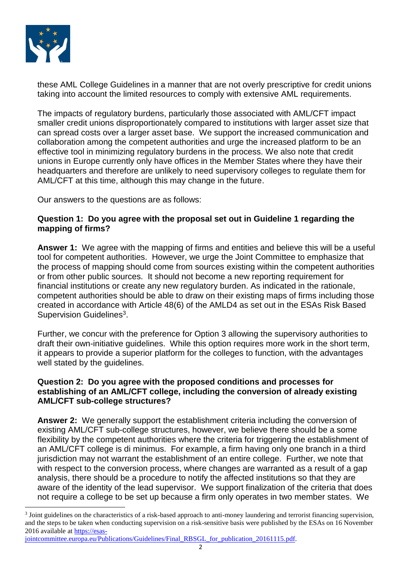

1

these AML College Guidelines in a manner that are not overly prescriptive for credit unions taking into account the limited resources to comply with extensive AML requirements.

The impacts of regulatory burdens, particularly those associated with AML/CFT impact smaller credit unions disproportionately compared to institutions with larger asset size that can spread costs over a larger asset base. We support the increased communication and collaboration among the competent authorities and urge the increased platform to be an effective tool in minimizing regulatory burdens in the process. We also note that credit unions in Europe currently only have offices in the Member States where they have their headquarters and therefore are unlikely to need supervisory colleges to regulate them for AML/CFT at this time, although this may change in the future.

Our answers to the questions are as follows:

# **Question 1: Do you agree with the proposal set out in Guideline 1 regarding the mapping of firms?**

**Answer 1:** We agree with the mapping of firms and entities and believe this will be a useful tool for competent authorities. However, we urge the Joint Committee to emphasize that the process of mapping should come from sources existing within the competent authorities or from other public sources. It should not become a new reporting requirement for financial institutions or create any new regulatory burden. As indicated in the rationale, competent authorities should be able to draw on their existing maps of firms including those created in accordance with Article 48(6) of the AMLD4 as set out in the ESAs Risk Based Supervision Guidelines<sup>3</sup>.

Further, we concur with the preference for Option 3 allowing the supervisory authorities to draft their own-initiative guidelines. While this option requires more work in the short term, it appears to provide a superior platform for the colleges to function, with the advantages well stated by the guidelines.

# **Question 2: Do you agree with the proposed conditions and processes for establishing of an AML/CFT college, including the conversion of already existing AML/CFT sub-college structures?**

**Answer 2:** We generally support the establishment criteria including the conversion of existing AML/CFT sub-college structures, however, we believe there should be a some flexibility by the competent authorities where the criteria for triggering the establishment of an AML/CFT college is di minimus. For example, a firm having only one branch in a third jurisdiction may not warrant the establishment of an entire college. Further, we note that with respect to the conversion process, where changes are warranted as a result of a gap analysis, there should be a procedure to notify the affected institutions so that they are aware of the identity of the lead supervisor. We support finalization of the criteria that does not require a college to be set up because a firm only operates in two member states. We

<sup>&</sup>lt;sup>3</sup> Joint guidelines on the characteristics of a risk-based approach to anti-money laundering and terrorist financing supervision, and the steps to be taken when conducting supervision on a risk-sensitive basis were published by the ESAs on 16 November 2016 available at [https://esas-](https://esas-jointcommittee.europa.eu/Publications/Guidelines/Final_RBSGL_for_publication_20161115.pdf)

[jointcommittee.europa.eu/Publications/Guidelines/Final\\_RBSGL\\_for\\_publication\\_20161115.pdf.](https://esas-jointcommittee.europa.eu/Publications/Guidelines/Final_RBSGL_for_publication_20161115.pdf)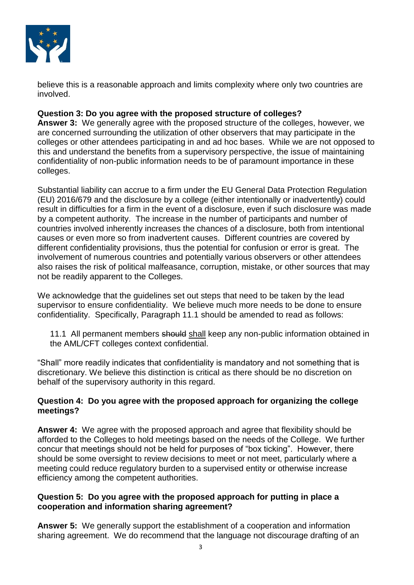

believe this is a reasonable approach and limits complexity where only two countries are involved.

# **Question 3: Do you agree with the proposed structure of colleges?**

**Answer 3:** We generally agree with the proposed structure of the colleges, however, we are concerned surrounding the utilization of other observers that may participate in the colleges or other attendees participating in and ad hoc bases. While we are not opposed to this and understand the benefits from a supervisory perspective, the issue of maintaining confidentiality of non-public information needs to be of paramount importance in these colleges.

Substantial liability can accrue to a firm under the EU General Data Protection Regulation (EU) 2016/679 and the disclosure by a college (either intentionally or inadvertently) could result in difficulties for a firm in the event of a disclosure, even if such disclosure was made by a competent authority. The increase in the number of participants and number of countries involved inherently increases the chances of a disclosure, both from intentional causes or even more so from inadvertent causes. Different countries are covered by different confidentiality provisions, thus the potential for confusion or error is great. The involvement of numerous countries and potentially various observers or other attendees also raises the risk of political malfeasance, corruption, mistake, or other sources that may not be readily apparent to the Colleges.

We acknowledge that the guidelines set out steps that need to be taken by the lead supervisor to ensure confidentiality. We believe much more needs to be done to ensure confidentiality. Specifically, Paragraph 11.1 should be amended to read as follows:

11.1 All permanent members should shall keep any non-public information obtained in the AML/CFT colleges context confidential.

"Shall" more readily indicates that confidentiality is mandatory and not something that is discretionary. We believe this distinction is critical as there should be no discretion on behalf of the supervisory authority in this regard.

# **Question 4: Do you agree with the proposed approach for organizing the college meetings?**

**Answer 4:** We agree with the proposed approach and agree that flexibility should be afforded to the Colleges to hold meetings based on the needs of the College. We further concur that meetings should not be held for purposes of "box ticking". However, there should be some oversight to review decisions to meet or not meet, particularly where a meeting could reduce regulatory burden to a supervised entity or otherwise increase efficiency among the competent authorities.

# **Question 5: Do you agree with the proposed approach for putting in place a cooperation and information sharing agreement?**

**Answer 5:** We generally support the establishment of a cooperation and information sharing agreement. We do recommend that the language not discourage drafting of an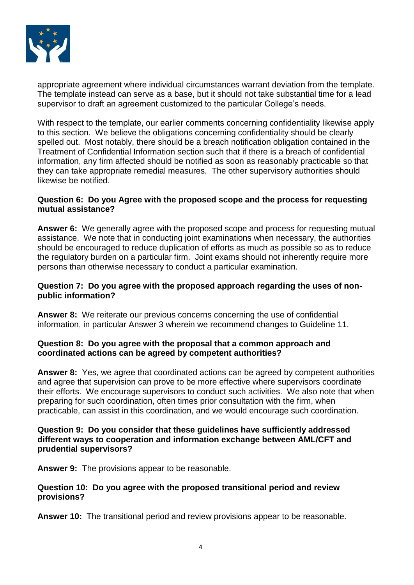

appropriate agreement where individual circumstances warrant deviation from the template. The template instead can serve as a base, but it should not take substantial time for a lead supervisor to draft an agreement customized to the particular College's needs.

With respect to the template, our earlier comments concerning confidentiality likewise apply to this section. We believe the obligations concerning confidentiality should be clearly spelled out. Most notably, there should be a breach notification obligation contained in the Treatment of Confidential Information section such that if there is a breach of confidential information, any firm affected should be notified as soon as reasonably practicable so that they can take appropriate remedial measures. The other supervisory authorities should likewise be notified.

### **Question 6: Do you Agree with the proposed scope and the process for requesting mutual assistance?**

**Answer 6:** We generally agree with the proposed scope and process for requesting mutual assistance. We note that in conducting joint examinations when necessary, the authorities should be encouraged to reduce duplication of efforts as much as possible so as to reduce the regulatory burden on a particular firm. Joint exams should not inherently require more persons than otherwise necessary to conduct a particular examination.

# **Question 7: Do you agree with the proposed approach regarding the uses of nonpublic information?**

Answer 8: We reiterate our previous concerns concerning the use of confidential information, in particular Answer 3 wherein we recommend changes to Guideline 11.

# **Question 8: Do you agree with the proposal that a common approach and coordinated actions can be agreed by competent authorities?**

**Answer 8:** Yes, we agree that coordinated actions can be agreed by competent authorities and agree that supervision can prove to be more effective where supervisors coordinate their efforts. We encourage supervisors to conduct such activities. We also note that when preparing for such coordination, often times prior consultation with the firm, when practicable, can assist in this coordination, and we would encourage such coordination.

#### **Question 9: Do you consider that these guidelines have sufficiently addressed different ways to cooperation and information exchange between AML/CFT and prudential supervisors?**

**Answer 9:** The provisions appear to be reasonable.

# **Question 10: Do you agree with the proposed transitional period and review provisions?**

**Answer 10:** The transitional period and review provisions appear to be reasonable.